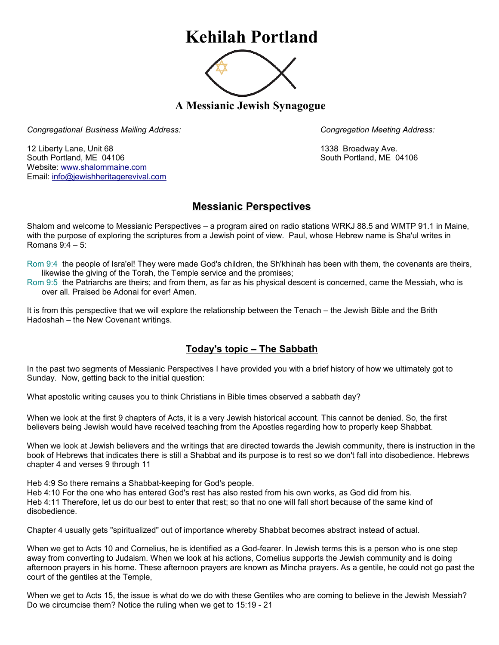## **Kehilah Portland**



**A Messianic Jewish Synagogue** 

*Congregational Business Mailing Address: Congregation Meeting Address:*

12 Liberty Lane, Unit 68 1338 Broadway Ave. South Portland, ME 04106 South Portland, ME 04106 Website: [www.shalommaine.com](http://www.shalommaine.com/) Email: [info@jewishheritagerevival.com](mailto:info@jewishheritagerevival.com) 

## **Messianic Perspectives**

Shalom and welcome to Messianic Perspectives – a program aired on radio stations WRKJ 88.5 and WMTP 91.1 in Maine, with the purpose of exploring the scriptures from a Jewish point of view. Paul, whose Hebrew name is Sha'ul writes in Romans 9:4 – 5:

Rom 9:4 the people of Isra'el! They were made God's children, the Sh'khinah has been with them, the covenants are theirs, likewise the giving of the Torah, the Temple service and the promises;

Rom 9:5 the Patriarchs are theirs; and from them, as far as his physical descent is concerned, came the Messiah, who is over all. Praised be Adonai for ever! Amen.

It is from this perspective that we will explore the relationship between the Tenach – the Jewish Bible and the Brith Hadoshah – the New Covenant writings.

## **Today's topic – The Sabbath**

In the past two segments of Messianic Perspectives I have provided you with a brief history of how we ultimately got to Sunday. Now, getting back to the initial question:

What apostolic writing causes you to think Christians in Bible times observed a sabbath day?

When we look at the first 9 chapters of Acts, it is a very Jewish historical account. This cannot be denied. So, the first believers being Jewish would have received teaching from the Apostles regarding how to properly keep Shabbat.

When we look at Jewish believers and the writings that are directed towards the Jewish community, there is instruction in the book of Hebrews that indicates there is still a Shabbat and its purpose is to rest so we don't fall into disobedience. Hebrews chapter 4 and verses 9 through 11

Heb 4:9 So there remains a Shabbat-keeping for God's people. Heb 4:10 For the one who has entered God's rest has also rested from his own works, as God did from his. Heb 4:11 Therefore, let us do our best to enter that rest; so that no one will fall short because of the same kind of disobedience.

Chapter 4 usually gets "spiritualized" out of importance whereby Shabbat becomes abstract instead of actual.

When we get to Acts 10 and Cornelius, he is identified as a God-fearer. In Jewish terms this is a person who is one step away from converting to Judaism. When we look at his actions, Cornelius supports the Jewish community and is doing afternoon prayers in his home. These afternoon prayers are known as Mincha prayers. As a gentile, he could not go past the court of the gentiles at the Temple,

When we get to Acts 15, the issue is what do we do with these Gentiles who are coming to believe in the Jewish Messiah? Do we circumcise them? Notice the ruling when we get to 15:19 - 21